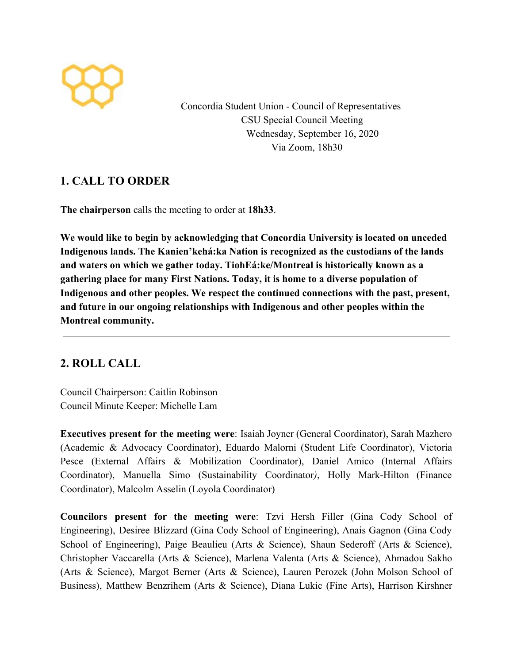

Concordia Student Union - Council of Representatives CSU Special Council Meeting Wednesday, September 16, 2020 Via Zoom, 18h30

### **1. CALL TO ORDER**

**The chairperson** calls the meeting to order at **18h33**.

**We would like to begin by acknowledging that Concordia University is located on unceded Indigenous lands. The Kanien'kehá:ka Nation is recognized as the custodians of the lands and waters on which we gather today. TiohEá:ke/Montreal is historically known as a gathering place for many First Nations. Today, it is home to a diverse population of Indigenous and other peoples. We respect the continued connections with the past, present, and future in our ongoing relationships with Indigenous and other peoples within the Montreal community.**

# **2. ROLL CALL**

Council Chairperson: Caitlin Robinson Council Minute Keeper: Michelle Lam

**Executives present for the meeting were**: Isaiah Joyner (General Coordinator), Sarah Mazhero (Academic & Advocacy Coordinator), Eduardo Malorni (Student Life Coordinator), Victoria Pesce (External Affairs & Mobilization Coordinator), Daniel Amico (Internal Affairs Coordinator), Manuella Simo (Sustainability Coordinator*)*, Holly Mark-Hilton (Finance Coordinator), Malcolm Asselin (Loyola Coordinator)

**Councilors present for the meeting were**: Tzvi Hersh Filler (Gina Cody School of Engineering), Desiree Blizzard (Gina Cody School of Engineering), Anais Gagnon (Gina Cody School of Engineering), Paige Beaulieu (Arts & Science), Shaun Sederoff (Arts & Science), Christopher Vaccarella (Arts & Science), Marlena Valenta (Arts & Science), Ahmadou Sakho (Arts & Science), Margot Berner (Arts & Science), Lauren Perozek (John Molson School of Business), Matthew Benzrihem (Arts & Science), Diana Lukic (Fine Arts), Harrison Kirshner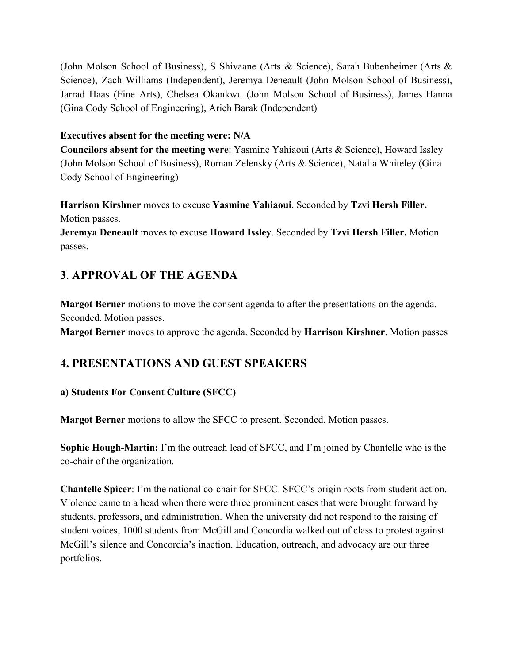(John Molson School of Business), S Shivaane (Arts & Science), Sarah Bubenheimer (Arts & Science), Zach Williams (Independent), Jeremya Deneault (John Molson School of Business), Jarrad Haas (Fine Arts), Chelsea Okankwu (John Molson School of Business), James Hanna (Gina Cody School of Engineering), Arieh Barak (Independent)

#### **Executives absent for the meeting were: N/A**

**Councilors absent for the meeting were**: Yasmine Yahiaoui (Arts & Science), Howard Issley (John Molson School of Business), Roman Zelensky (Arts & Science), Natalia Whiteley (Gina Cody School of Engineering)

**Harrison Kirshner** moves to excuse **Yasmine Yahiaoui**. Seconded by **Tzvi Hersh Filler.** Motion passes.

**Jeremya Deneault** moves to excuse **Howard Issley**. Seconded by **Tzvi Hersh Filler.** Motion passes.

# **3**. **APPROVAL OF THE AGENDA**

**Margot Berner** motions to move the consent agenda to after the presentations on the agenda. Seconded. Motion passes.

**Margot Berner** moves to approve the agenda. Seconded by **Harrison Kirshner**. Motion passes

# **4. PRESENTATIONS AND GUEST SPEAKERS**

### **a) Students For Consent Culture (SFCC)**

**Margot Berner** motions to allow the SFCC to present. Seconded. Motion passes.

**Sophie Hough-Martin:** I'm the outreach lead of SFCC, and I'm joined by Chantelle who is the co-chair of the organization.

**Chantelle Spicer**: I'm the national co-chair for SFCC. SFCC's origin roots from student action. Violence came to a head when there were three prominent cases that were brought forward by students, professors, and administration. When the university did not respond to the raising of student voices, 1000 students from McGill and Concordia walked out of class to protest against McGill's silence and Concordia's inaction. Education, outreach, and advocacy are our three portfolios.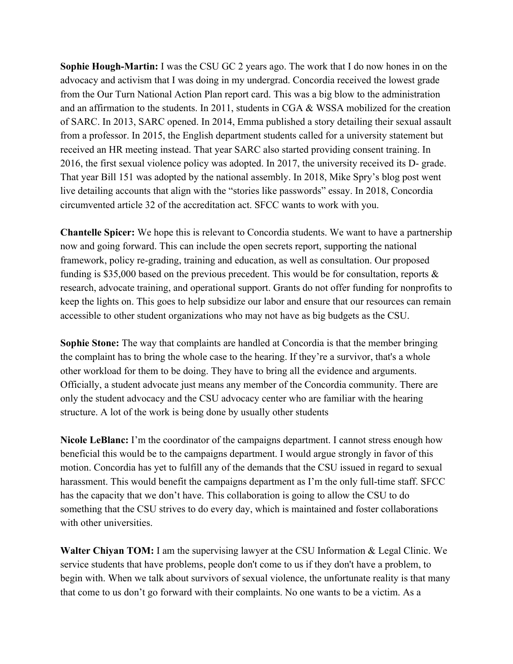**Sophie Hough-Martin:** I was the CSU GC 2 years ago. The work that I do now hones in on the advocacy and activism that I was doing in my undergrad. Concordia received the lowest grade from the Our Turn National Action Plan report card. This was a big blow to the administration and an affirmation to the students. In 2011, students in CGA & WSSA mobilized for the creation of SARC. In 2013, SARC opened. In 2014, Emma published a story detailing their sexual assault from a professor. In 2015, the English department students called for a university statement but received an HR meeting instead. That year SARC also started providing consent training. In 2016, the first sexual violence policy was adopted. In 2017, the university received its D- grade. That year Bill 151 was adopted by the national assembly. In 2018, Mike Spry's blog post went live detailing accounts that align with the "stories like passwords" essay. In 2018, Concordia circumvented article 32 of the accreditation act. SFCC wants to work with you.

**Chantelle Spicer:** We hope this is relevant to Concordia students. We want to have a partnership now and going forward. This can include the open secrets report, supporting the national framework, policy re-grading, training and education, as well as consultation. Our proposed funding is \$35,000 based on the previous precedent. This would be for consultation, reports & research, advocate training, and operational support. Grants do not offer funding for nonprofits to keep the lights on. This goes to help subsidize our labor and ensure that our resources can remain accessible to other student organizations who may not have as big budgets as the CSU.

**Sophie Stone:** The way that complaints are handled at Concordia is that the member bringing the complaint has to bring the whole case to the hearing. If they're a survivor, that's a whole other workload for them to be doing. They have to bring all the evidence and arguments. Officially, a student advocate just means any member of the Concordia community. There are only the student advocacy and the CSU advocacy center who are familiar with the hearing structure. A lot of the work is being done by usually other students

**Nicole LeBlanc:** I'm the coordinator of the campaigns department. I cannot stress enough how beneficial this would be to the campaigns department. I would argue strongly in favor of this motion. Concordia has yet to fulfill any of the demands that the CSU issued in regard to sexual harassment. This would benefit the campaigns department as I'm the only full-time staff. SFCC has the capacity that we don't have. This collaboration is going to allow the CSU to do something that the CSU strives to do every day, which is maintained and foster collaborations with other universities.

**Walter Chiyan TOM:** I am the supervising lawyer at the CSU Information & Legal Clinic. We service students that have problems, people don't come to us if they don't have a problem, to begin with. When we talk about survivors of sexual violence, the unfortunate reality is that many that come to us don't go forward with their complaints. No one wants to be a victim. As a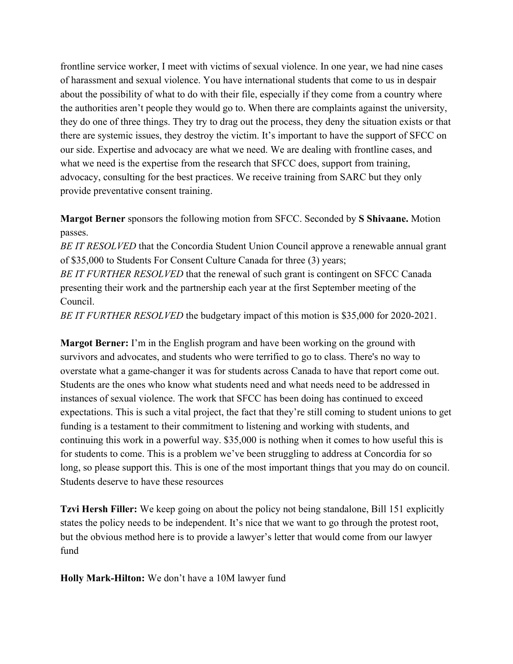frontline service worker, I meet with victims of sexual violence. In one year, we had nine cases of harassment and sexual violence. You have international students that come to us in despair about the possibility of what to do with their file, especially if they come from a country where the authorities aren't people they would go to. When there are complaints against the university, they do one of three things. They try to drag out the process, they deny the situation exists or that there are systemic issues, they destroy the victim. It's important to have the support of SFCC on our side. Expertise and advocacy are what we need. We are dealing with frontline cases, and what we need is the expertise from the research that SFCC does, support from training, advocacy, consulting for the best practices. We receive training from SARC but they only provide preventative consent training.

### **Margot Berner** sponsors the following motion from SFCC. Seconded by **S Shivaane.** Motion passes.

*BE IT RESOLVED* that the Concordia Student Union Council approve a renewable annual grant of \$35,000 to Students For Consent Culture Canada for three (3) years;

*BE IT FURTHER RESOLVED* that the renewal of such grant is contingent on SFCC Canada presenting their work and the partnership each year at the first September meeting of the Council.

*BE IT FURTHER RESOLVED* the budgetary impact of this motion is \$35,000 for 2020-2021.

**Margot Berner:** I'm in the English program and have been working on the ground with survivors and advocates, and students who were terrified to go to class. There's no way to overstate what a game-changer it was for students across Canada to have that report come out. Students are the ones who know what students need and what needs need to be addressed in instances of sexual violence. The work that SFCC has been doing has continued to exceed expectations. This is such a vital project, the fact that they're still coming to student unions to get funding is a testament to their commitment to listening and working with students, and continuing this work in a powerful way. \$35,000 is nothing when it comes to how useful this is for students to come. This is a problem we've been struggling to address at Concordia for so long, so please support this. This is one of the most important things that you may do on council. Students deserve to have these resources

**Tzvi Hersh Filler:** We keep going on about the policy not being standalone, Bill 151 explicitly states the policy needs to be independent. It's nice that we want to go through the protest root, but the obvious method here is to provide a lawyer's letter that would come from our lawyer fund

**Holly Mark-Hilton:** We don't have a 10M lawyer fund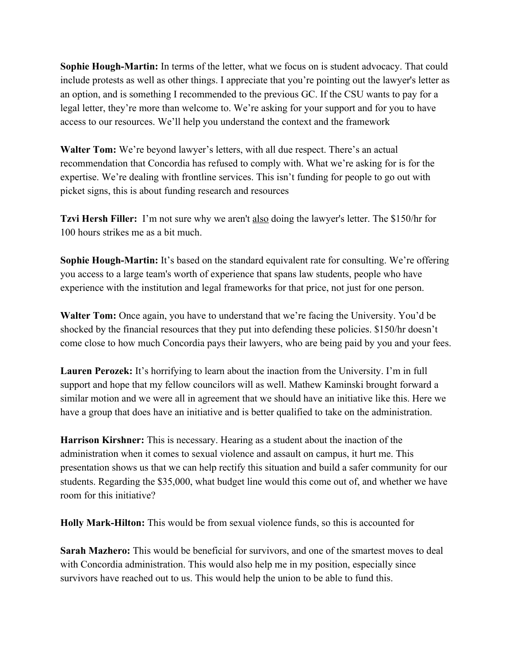**Sophie Hough-Martin:** In terms of the letter, what we focus on is student advocacy. That could include protests as well as other things. I appreciate that you're pointing out the lawyer's letter as an option, and is something I recommended to the previous GC. If the CSU wants to pay for a legal letter, they're more than welcome to. We're asking for your support and for you to have access to our resources. We'll help you understand the context and the framework

**Walter Tom:** We're beyond lawyer's letters, with all due respect. There's an actual recommendation that Concordia has refused to comply with. What we're asking for is for the expertise. We're dealing with frontline services. This isn't funding for people to go out with picket signs, this is about funding research and resources

**Tzvi Hersh Filler:** I'm not sure why we aren't also doing the lawyer's letter. The \$150/hr for 100 hours strikes me as a bit much.

**Sophie Hough-Martin:** It's based on the standard equivalent rate for consulting. We're offering you access to a large team's worth of experience that spans law students, people who have experience with the institution and legal frameworks for that price, not just for one person.

**Walter Tom:** Once again, you have to understand that we're facing the University. You'd be shocked by the financial resources that they put into defending these policies. \$150/hr doesn't come close to how much Concordia pays their lawyers, who are being paid by you and your fees.

**Lauren Perozek:** It's horrifying to learn about the inaction from the University. I'm in full support and hope that my fellow councilors will as well. Mathew Kaminski brought forward a similar motion and we were all in agreement that we should have an initiative like this. Here we have a group that does have an initiative and is better qualified to take on the administration.

**Harrison Kirshner:** This is necessary. Hearing as a student about the inaction of the administration when it comes to sexual violence and assault on campus, it hurt me. This presentation shows us that we can help rectify this situation and build a safer community for our students. Regarding the \$35,000, what budget line would this come out of, and whether we have room for this initiative?

**Holly Mark-Hilton:** This would be from sexual violence funds, so this is accounted for

**Sarah Mazhero:** This would be beneficial for survivors, and one of the smartest moves to deal with Concordia administration. This would also help me in my position, especially since survivors have reached out to us. This would help the union to be able to fund this.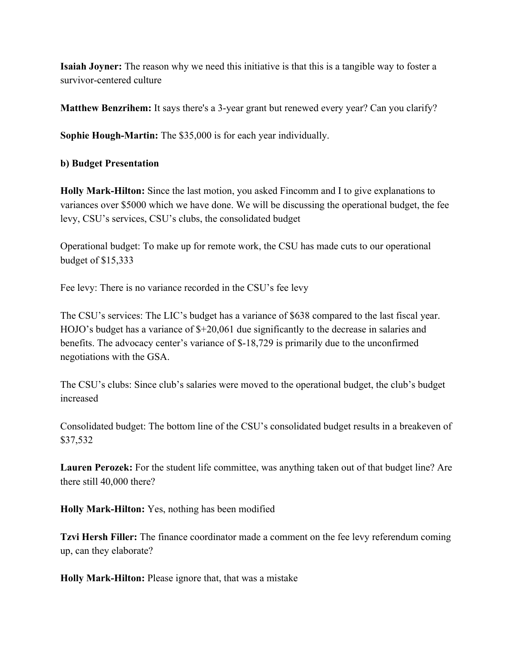**Isaiah Joyner:** The reason why we need this initiative is that this is a tangible way to foster a survivor-centered culture

**Matthew Benzrihem:** It says there's a 3-year grant but renewed every year? Can you clarify?

**Sophie Hough-Martin:** The \$35,000 is for each year individually.

**b) Budget Presentation**

**Holly Mark-Hilton:** Since the last motion, you asked Fincomm and I to give explanations to variances over \$5000 which we have done. We will be discussing the operational budget, the fee levy, CSU's services, CSU's clubs, the consolidated budget

Operational budget: To make up for remote work, the CSU has made cuts to our operational budget of \$15,333

Fee levy: There is no variance recorded in the CSU's fee levy

The CSU's services: The LIC's budget has a variance of \$638 compared to the last fiscal year. HOJO's budget has a variance of \$+20,061 due significantly to the decrease in salaries and benefits. The advocacy center's variance of \$-18,729 is primarily due to the unconfirmed negotiations with the GSA.

The CSU's clubs: Since club's salaries were moved to the operational budget, the club's budget increased

Consolidated budget: The bottom line of the CSU's consolidated budget results in a breakeven of \$37,532

**Lauren Perozek:** For the student life committee, was anything taken out of that budget line? Are there still 40,000 there?

**Holly Mark-Hilton:** Yes, nothing has been modified

**Tzvi Hersh Filler:** The finance coordinator made a comment on the fee levy referendum coming up, can they elaborate?

**Holly Mark-Hilton:** Please ignore that, that was a mistake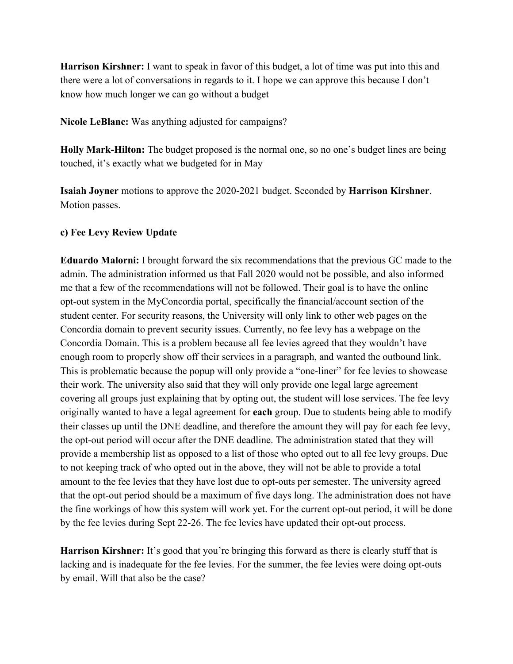**Harrison Kirshner:** I want to speak in favor of this budget, a lot of time was put into this and there were a lot of conversations in regards to it. I hope we can approve this because I don't know how much longer we can go without a budget

**Nicole LeBlanc:** Was anything adjusted for campaigns?

**Holly Mark-Hilton:** The budget proposed is the normal one, so no one's budget lines are being touched, it's exactly what we budgeted for in May

**Isaiah Joyner** motions to approve the 2020-2021 budget. Seconded by **Harrison Kirshner**. Motion passes.

#### **c) Fee Levy Review Update**

**Eduardo Malorni:** I brought forward the six recommendations that the previous GC made to the admin. The administration informed us that Fall 2020 would not be possible, and also informed me that a few of the recommendations will not be followed. Their goal is to have the online opt-out system in the MyConcordia portal, specifically the financial/account section of the student center. For security reasons, the University will only link to other web pages on the Concordia domain to prevent security issues. Currently, no fee levy has a webpage on the Concordia Domain. This is a problem because all fee levies agreed that they wouldn't have enough room to properly show off their services in a paragraph, and wanted the outbound link. This is problematic because the popup will only provide a "one-liner" for fee levies to showcase their work. The university also said that they will only provide one legal large agreement covering all groups just explaining that by opting out, the student will lose services. The fee levy originally wanted to have a legal agreement for **each** group. Due to students being able to modify their classes up until the DNE deadline, and therefore the amount they will pay for each fee levy, the opt-out period will occur after the DNE deadline. The administration stated that they will provide a membership list as opposed to a list of those who opted out to all fee levy groups. Due to not keeping track of who opted out in the above, they will not be able to provide a total amount to the fee levies that they have lost due to opt-outs per semester. The university agreed that the opt-out period should be a maximum of five days long. The administration does not have the fine workings of how this system will work yet. For the current opt-out period, it will be done by the fee levies during Sept 22-26. The fee levies have updated their opt-out process.

**Harrison Kirshner:** It's good that you're bringing this forward as there is clearly stuff that is lacking and is inadequate for the fee levies. For the summer, the fee levies were doing opt-outs by email. Will that also be the case?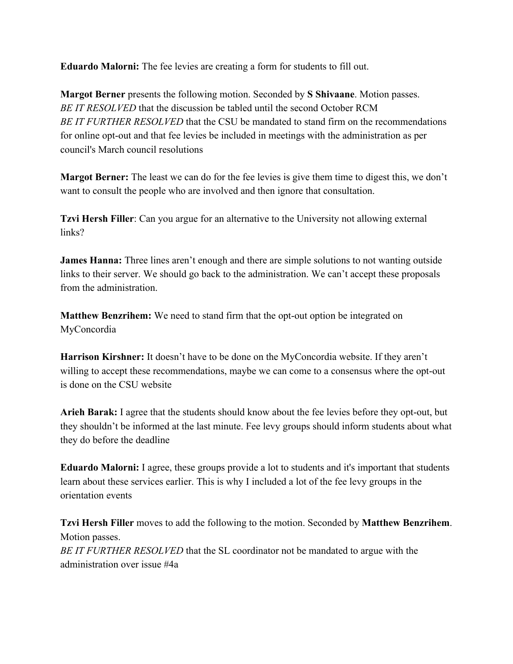**Eduardo Malorni:** The fee levies are creating a form for students to fill out.

**Margot Berner** presents the following motion. Seconded by **S Shivaane**. Motion passes. *BE IT RESOLVED* that the discussion be tabled until the second October RCM *BE IT FURTHER RESOLVED* that the CSU be mandated to stand firm on the recommendations for online opt-out and that fee levies be included in meetings with the administration as per council's March council resolutions

**Margot Berner:** The least we can do for the fee levies is give them time to digest this, we don't want to consult the people who are involved and then ignore that consultation.

**Tzvi Hersh Filler**: Can you argue for an alternative to the University not allowing external links?

**James Hanna:** Three lines aren't enough and there are simple solutions to not wanting outside links to their server. We should go back to the administration. We can't accept these proposals from the administration.

**Matthew Benzrihem:** We need to stand firm that the opt-out option be integrated on MyConcordia

**Harrison Kirshner:** It doesn't have to be done on the MyConcordia website. If they aren't willing to accept these recommendations, maybe we can come to a consensus where the opt-out is done on the CSU website

**Arieh Barak:** I agree that the students should know about the fee levies before they opt-out, but they shouldn't be informed at the last minute. Fee levy groups should inform students about what they do before the deadline

**Eduardo Malorni:** I agree, these groups provide a lot to students and it's important that students learn about these services earlier. This is why I included a lot of the fee levy groups in the orientation events

**Tzvi Hersh Filler** moves to add the following to the motion. Seconded by **Matthew Benzrihem**. Motion passes. *BE IT FURTHER RESOLVED* that the SL coordinator not be mandated to argue with the administration over issue #4a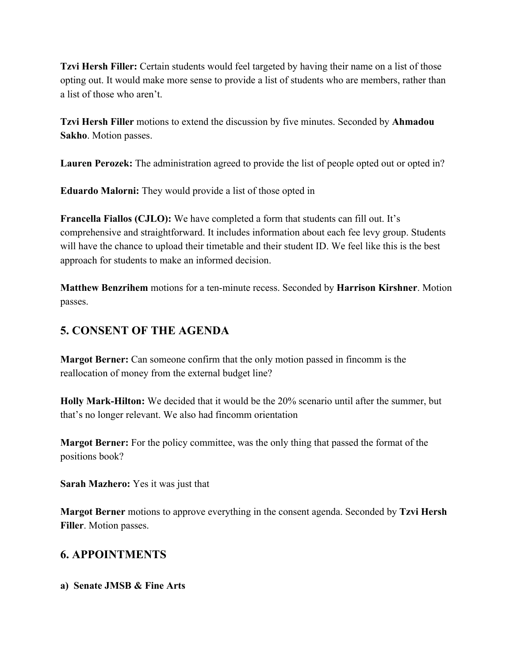**Tzvi Hersh Filler:** Certain students would feel targeted by having their name on a list of those opting out. It would make more sense to provide a list of students who are members, rather than a list of those who aren't.

**Tzvi Hersh Filler** motions to extend the discussion by five minutes. Seconded by **Ahmadou Sakho**. Motion passes.

**Lauren Perozek:** The administration agreed to provide the list of people opted out or opted in?

**Eduardo Malorni:** They would provide a list of those opted in

**Francella Fiallos (CJLO):** We have completed a form that students can fill out. It's comprehensive and straightforward. It includes information about each fee levy group. Students will have the chance to upload their timetable and their student ID. We feel like this is the best approach for students to make an informed decision.

**Matthew Benzrihem** motions for a ten-minute recess. Seconded by **Harrison Kirshner**. Motion passes.

# **5. CONSENT OF THE AGENDA**

**Margot Berner:** Can someone confirm that the only motion passed in fincomm is the reallocation of money from the external budget line?

**Holly Mark-Hilton:** We decided that it would be the 20% scenario until after the summer, but that's no longer relevant. We also had fincomm orientation

**Margot Berner:** For the policy committee, was the only thing that passed the format of the positions book?

**Sarah Mazhero:** Yes it was just that

**Margot Berner** motions to approve everything in the consent agenda. Seconded by **Tzvi Hersh Filler**. Motion passes.

# **6. APPOINTMENTS**

**a) Senate JMSB & Fine Arts**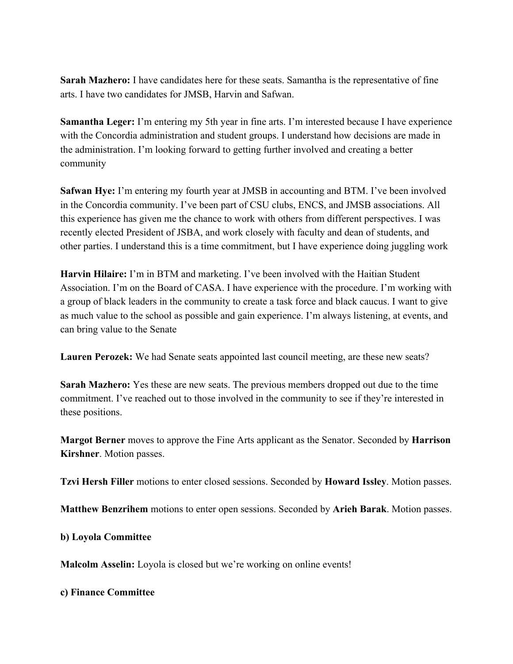**Sarah Mazhero:** I have candidates here for these seats. Samantha is the representative of fine arts. I have two candidates for JMSB, Harvin and Safwan.

**Samantha Leger:** I'm entering my 5th year in fine arts. I'm interested because I have experience with the Concordia administration and student groups. I understand how decisions are made in the administration. I'm looking forward to getting further involved and creating a better community

**Safwan Hye:** I'm entering my fourth year at JMSB in accounting and BTM. I've been involved in the Concordia community. I've been part of CSU clubs, ENCS, and JMSB associations. All this experience has given me the chance to work with others from different perspectives. I was recently elected President of JSBA, and work closely with faculty and dean of students, and other parties. I understand this is a time commitment, but I have experience doing juggling work

**Harvin Hilaire:** I'm in BTM and marketing. I've been involved with the Haitian Student Association. I'm on the Board of CASA. I have experience with the procedure. I'm working with a group of black leaders in the community to create a task force and black caucus. I want to give as much value to the school as possible and gain experience. I'm always listening, at events, and can bring value to the Senate

**Lauren Perozek:** We had Senate seats appointed last council meeting, are these new seats?

**Sarah Mazhero:** Yes these are new seats. The previous members dropped out due to the time commitment. I've reached out to those involved in the community to see if they're interested in these positions.

**Margot Berner** moves to approve the Fine Arts applicant as the Senator. Seconded by **Harrison Kirshner**. Motion passes.

**Tzvi Hersh Filler** motions to enter closed sessions. Seconded by **Howard Issley**. Motion passes.

**Matthew Benzrihem** motions to enter open sessions. Seconded by **Arieh Barak**. Motion passes.

**b) Loyola Committee**

**Malcolm Asselin:** Loyola is closed but we're working on online events!

**c) Finance Committee**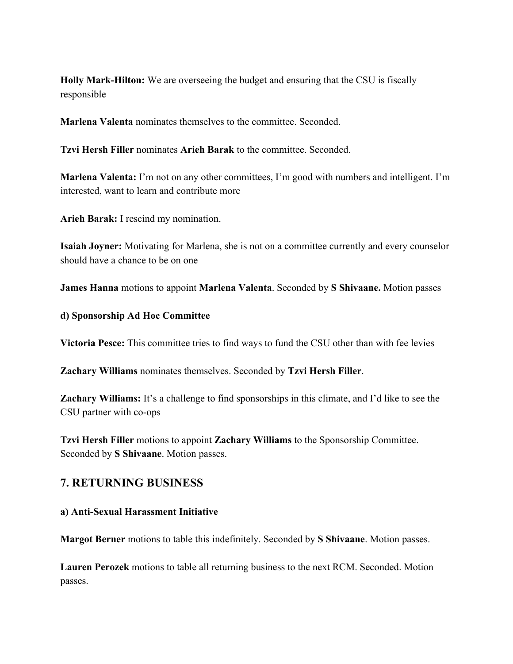**Holly Mark-Hilton:** We are overseeing the budget and ensuring that the CSU is fiscally responsible

**Marlena Valenta** nominates themselves to the committee. Seconded.

**Tzvi Hersh Filler** nominates **Arieh Barak** to the committee. Seconded.

**Marlena Valenta:** I'm not on any other committees, I'm good with numbers and intelligent. I'm interested, want to learn and contribute more

**Arieh Barak:** I rescind my nomination.

**Isaiah Joyner:** Motivating for Marlena, she is not on a committee currently and every counselor should have a chance to be on one

**James Hanna** motions to appoint **Marlena Valenta**. Seconded by **S Shivaane.** Motion passes

#### **d) Sponsorship Ad Hoc Committee**

**Victoria Pesce:** This committee tries to find ways to fund the CSU other than with fee levies

**Zachary Williams** nominates themselves. Seconded by **Tzvi Hersh Filler**.

**Zachary Williams:** It's a challenge to find sponsorships in this climate, and I'd like to see the CSU partner with co-ops

**Tzvi Hersh Filler** motions to appoint **Zachary Williams** to the Sponsorship Committee. Seconded by **S Shivaane**. Motion passes.

### **7. RETURNING BUSINESS**

#### **a) Anti-Sexual Harassment Initiative**

**Margot Berner** motions to table this indefinitely. Seconded by **S Shivaane**. Motion passes.

**Lauren Perozek** motions to table all returning business to the next RCM. Seconded. Motion passes.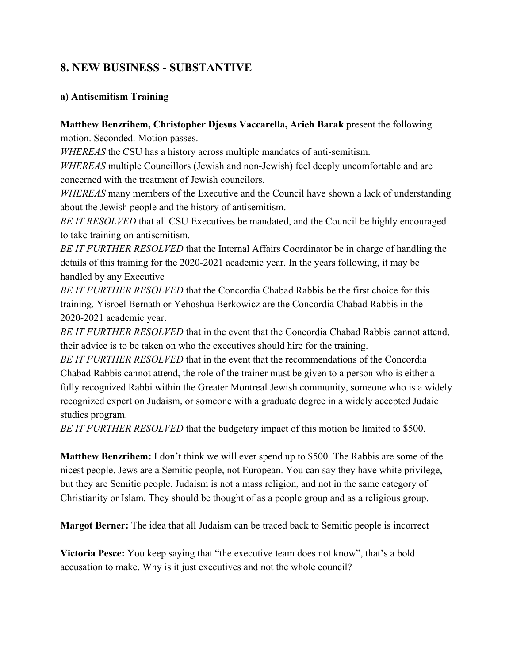### **8. NEW BUSINESS - SUBSTANTIVE**

#### **a) Antisemitism Training**

### **Matthew Benzrihem, Christopher Djesus Vaccarella, Arieh Barak** present the following motion. Seconded. Motion passes.

*WHEREAS* the CSU has a history across multiple mandates of anti-semitism.

*WHEREAS* multiple Councillors (Jewish and non-Jewish) feel deeply uncomfortable and are concerned with the treatment of Jewish councilors.

*WHEREAS* many members of the Executive and the Council have shown a lack of understanding about the Jewish people and the history of antisemitism.

*BE IT RESOLVED* that all CSU Executives be mandated, and the Council be highly encouraged to take training on antisemitism.

*BE IT FURTHER RESOLVED* that the Internal Affairs Coordinator be in charge of handling the details of this training for the 2020-2021 academic year. In the years following, it may be handled by any Executive

*BE IT FURTHER RESOLVED* that the Concordia Chabad Rabbis be the first choice for this training. Yisroel Bernath or Yehoshua Berkowicz are the Concordia Chabad Rabbis in the 2020-2021 academic year.

*BE IT FURTHER RESOLVED* that in the event that the Concordia Chabad Rabbis cannot attend, their advice is to be taken on who the executives should hire for the training.

*BE IT FURTHER RESOLVED* that in the event that the recommendations of the Concordia Chabad Rabbis cannot attend, the role of the trainer must be given to a person who is either a fully recognized Rabbi within the Greater Montreal Jewish community, someone who is a widely recognized expert on Judaism, or someone with a graduate degree in a widely accepted Judaic studies program.

*BE IT FURTHER RESOLVED* that the budgetary impact of this motion be limited to \$500.

**Matthew Benzrihem:** I don't think we will ever spend up to \$500. The Rabbis are some of the nicest people. Jews are a Semitic people, not European. You can say they have white privilege, but they are Semitic people. Judaism is not a mass religion, and not in the same category of Christianity or Islam. They should be thought of as a people group and as a religious group.

**Margot Berner:** The idea that all Judaism can be traced back to Semitic people is incorrect

**Victoria Pesce:** You keep saying that "the executive team does not know", that's a bold accusation to make. Why is it just executives and not the whole council?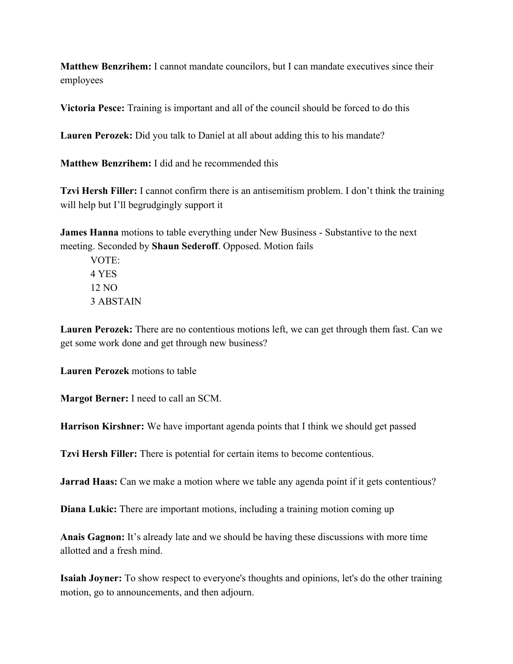**Matthew Benzrihem:** I cannot mandate councilors, but I can mandate executives since their employees

**Victoria Pesce:** Training is important and all of the council should be forced to do this

**Lauren Perozek:** Did you talk to Daniel at all about adding this to his mandate?

**Matthew Benzrihem:** I did and he recommended this

**Tzvi Hersh Filler:** I cannot confirm there is an antisemitism problem. I don't think the training will help but I'll begrudgingly support it

**James Hanna** motions to table everything under New Business - Substantive to the next meeting. Seconded by **Shaun Sederoff**. Opposed. Motion fails

VOTE: 4 YES 12 NO 3 ABSTAIN

**Lauren Perozek:** There are no contentious motions left, we can get through them fast. Can we get some work done and get through new business?

**Lauren Perozek** motions to table

**Margot Berner:** I need to call an SCM.

**Harrison Kirshner:** We have important agenda points that I think we should get passed

**Tzvi Hersh Filler:** There is potential for certain items to become contentious.

**Jarrad Haas:** Can we make a motion where we table any agenda point if it gets contentious?

**Diana Lukic:** There are important motions, including a training motion coming up

**Anais Gagnon:** It's already late and we should be having these discussions with more time allotted and a fresh mind.

**Isaiah Joyner:** To show respect to everyone's thoughts and opinions, let's do the other training motion, go to announcements, and then adjourn.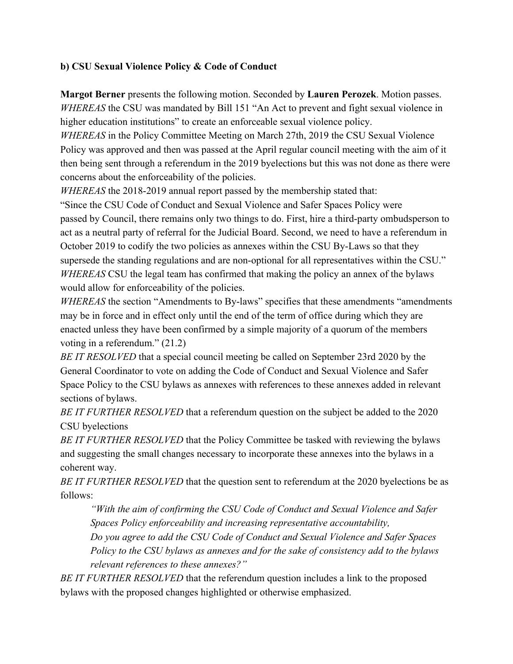### **b) CSU Sexual Violence Policy & Code of Conduct**

**Margot Berner** presents the following motion. Seconded by **Lauren Perozek**. Motion passes. *WHEREAS* the CSU was mandated by Bill 151 "An Act to prevent and fight sexual violence in higher education institutions" to create an enforceable sexual violence policy.

*WHEREAS* in the Policy Committee Meeting on March 27th, 2019 the CSU Sexual Violence Policy was approved and then was passed at the April regular council meeting with the aim of it then being sent through a referendum in the 2019 byelections but this was not done as there were concerns about the enforceability of the policies.

*WHEREAS* the 2018-2019 annual report passed by the membership stated that:

"Since the CSU Code of Conduct and Sexual Violence and Safer Spaces Policy were passed by Council, there remains only two things to do. First, hire a third-party ombudsperson to act as a neutral party of referral for the Judicial Board. Second, we need to have a referendum in October 2019 to codify the two policies as annexes within the CSU By-Laws so that they supersede the standing regulations and are non-optional for all representatives within the CSU." *WHEREAS* CSU the legal team has confirmed that making the policy an annex of the bylaws would allow for enforceability of the policies.

*WHEREAS* the section "Amendments to By-laws" specifies that these amendments "amendments" may be in force and in effect only until the end of the term of office during which they are enacted unless they have been confirmed by a simple majority of a quorum of the members voting in a referendum." (21.2)

*BE IT RESOLVED* that a special council meeting be called on September 23rd 2020 by the General Coordinator to vote on adding the Code of Conduct and Sexual Violence and Safer Space Policy to the CSU bylaws as annexes with references to these annexes added in relevant sections of bylaws.

*BE IT FURTHER RESOLVED* that a referendum question on the subject be added to the 2020 CSU byelections

*BE IT FURTHER RESOLVED* that the Policy Committee be tasked with reviewing the bylaws and suggesting the small changes necessary to incorporate these annexes into the bylaws in a coherent way.

*BE IT FURTHER RESOLVED* that the question sent to referendum at the 2020 byelections be as follows:

*"With the aim of confirming the CSU Code of Conduct and Sexual Violence and Safer Spaces Policy enforceability and increasing representative accountability,*

*Do you agree to add the CSU Code of Conduct and Sexual Violence and Safer Spaces Policy to the CSU bylaws as annexes and for the sake of consistency add to the bylaws relevant references to these annexes?"*

*BE IT FURTHER RESOLVED* that the referendum question includes a link to the proposed bylaws with the proposed changes highlighted or otherwise emphasized.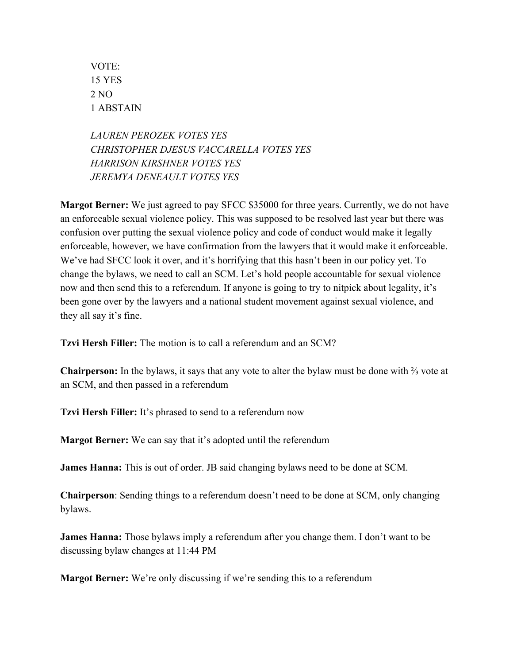VOTE: 15 YES 2 NO 1 ABSTAIN

*LAUREN PEROZEK VOTES YES CHRISTOPHER DJESUS VACCARELLA VOTES YES HARRISON KIRSHNER VOTES YES JEREMYA DENEAULT VOTES YES*

**Margot Berner:** We just agreed to pay SFCC \$35000 for three years. Currently, we do not have an enforceable sexual violence policy. This was supposed to be resolved last year but there was confusion over putting the sexual violence policy and code of conduct would make it legally enforceable, however, we have confirmation from the lawyers that it would make it enforceable. We've had SFCC look it over, and it's horrifying that this hasn't been in our policy yet. To change the bylaws, we need to call an SCM. Let's hold people accountable for sexual violence now and then send this to a referendum. If anyone is going to try to nitpick about legality, it's been gone over by the lawyers and a national student movement against sexual violence, and they all say it's fine.

**Tzvi Hersh Filler:** The motion is to call a referendum and an SCM?

**Chairperson:** In the bylaws, it says that any vote to alter the bylaw must be done with ⅔ vote at an SCM, and then passed in a referendum

**Tzvi Hersh Filler:** It's phrased to send to a referendum now

**Margot Berner:** We can say that it's adopted until the referendum

**James Hanna:** This is out of order. JB said changing bylaws need to be done at SCM.

**Chairperson**: Sending things to a referendum doesn't need to be done at SCM, only changing bylaws.

**James Hanna:** Those bylaws imply a referendum after you change them. I don't want to be discussing bylaw changes at 11:44 PM

**Margot Berner:** We're only discussing if we're sending this to a referendum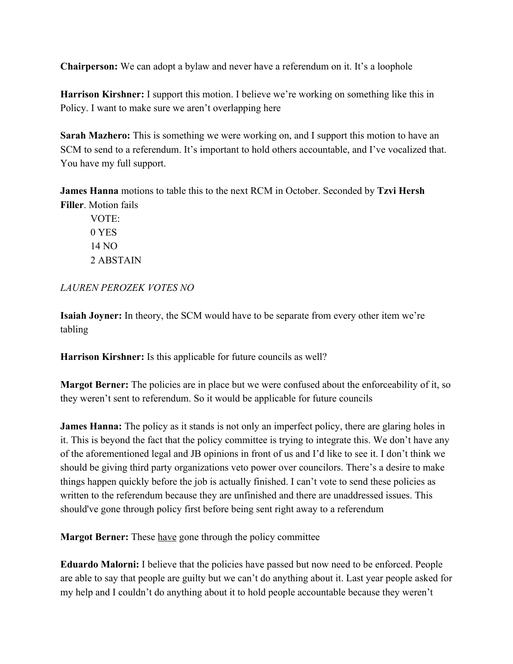**Chairperson:** We can adopt a bylaw and never have a referendum on it. It's a loophole

**Harrison Kirshner:** I support this motion. I believe we're working on something like this in Policy. I want to make sure we aren't overlapping here

**Sarah Mazhero:** This is something we were working on, and I support this motion to have an SCM to send to a referendum. It's important to hold others accountable, and I've vocalized that. You have my full support.

**James Hanna** motions to table this to the next RCM in October. Seconded by **Tzvi Hersh Filler**. Motion fails

VOTE: 0 YES 14 NO 2 ABSTAIN

*LAUREN PEROZEK VOTES NO*

**Isaiah Joyner:** In theory, the SCM would have to be separate from every other item we're tabling

**Harrison Kirshner:** Is this applicable for future councils as well?

**Margot Berner:** The policies are in place but we were confused about the enforceability of it, so they weren't sent to referendum. So it would be applicable for future councils

**James Hanna:** The policy as it stands is not only an imperfect policy, there are glaring holes in it. This is beyond the fact that the policy committee is trying to integrate this. We don't have any of the aforementioned legal and JB opinions in front of us and I'd like to see it. I don't think we should be giving third party organizations veto power over councilors. There's a desire to make things happen quickly before the job is actually finished. I can't vote to send these policies as written to the referendum because they are unfinished and there are unaddressed issues. This should've gone through policy first before being sent right away to a referendum

**Margot Berner:** These <u>have</u> gone through the policy committee

**Eduardo Malorni:** I believe that the policies have passed but now need to be enforced. People are able to say that people are guilty but we can't do anything about it. Last year people asked for my help and I couldn't do anything about it to hold people accountable because they weren't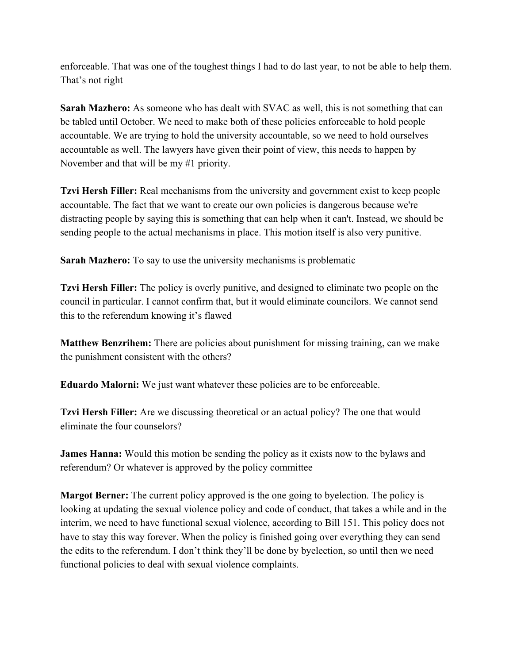enforceable. That was one of the toughest things I had to do last year, to not be able to help them. That's not right

**Sarah Mazhero:** As someone who has dealt with SVAC as well, this is not something that can be tabled until October. We need to make both of these policies enforceable to hold people accountable. We are trying to hold the university accountable, so we need to hold ourselves accountable as well. The lawyers have given their point of view, this needs to happen by November and that will be my #1 priority.

**Tzvi Hersh Filler:** Real mechanisms from the university and government exist to keep people accountable. The fact that we want to create our own policies is dangerous because we're distracting people by saying this is something that can help when it can't. Instead, we should be sending people to the actual mechanisms in place. This motion itself is also very punitive.

**Sarah Mazhero:** To say to use the university mechanisms is problematic

**Tzvi Hersh Filler:** The policy is overly punitive, and designed to eliminate two people on the council in particular. I cannot confirm that, but it would eliminate councilors. We cannot send this to the referendum knowing it's flawed

**Matthew Benzrihem:** There are policies about punishment for missing training, can we make the punishment consistent with the others?

**Eduardo Malorni:** We just want whatever these policies are to be enforceable.

**Tzvi Hersh Filler:** Are we discussing theoretical or an actual policy? The one that would eliminate the four counselors?

**James Hanna:** Would this motion be sending the policy as it exists now to the bylaws and referendum? Or whatever is approved by the policy committee

**Margot Berner:** The current policy approved is the one going to byelection. The policy is looking at updating the sexual violence policy and code of conduct, that takes a while and in the interim, we need to have functional sexual violence, according to Bill 151. This policy does not have to stay this way forever. When the policy is finished going over everything they can send the edits to the referendum. I don't think they'll be done by byelection, so until then we need functional policies to deal with sexual violence complaints.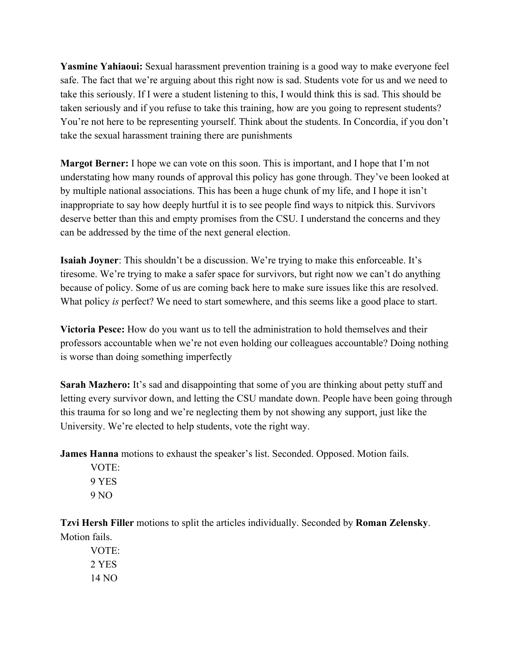**Yasmine Yahiaoui:** Sexual harassment prevention training is a good way to make everyone feel safe. The fact that we're arguing about this right now is sad. Students vote for us and we need to take this seriously. If I were a student listening to this, I would think this is sad. This should be taken seriously and if you refuse to take this training, how are you going to represent students? You're not here to be representing yourself. Think about the students. In Concordia, if you don't take the sexual harassment training there are punishments

**Margot Berner:** I hope we can vote on this soon. This is important, and I hope that I'm not understating how many rounds of approval this policy has gone through. They've been looked at by multiple national associations. This has been a huge chunk of my life, and I hope it isn't inappropriate to say how deeply hurtful it is to see people find ways to nitpick this. Survivors deserve better than this and empty promises from the CSU. I understand the concerns and they can be addressed by the time of the next general election.

**Isaiah Joyner**: This shouldn't be a discussion. We're trying to make this enforceable. It's tiresome. We're trying to make a safer space for survivors, but right now we can't do anything because of policy. Some of us are coming back here to make sure issues like this are resolved. What policy *is* perfect? We need to start somewhere, and this seems like a good place to start.

**Victoria Pesce:** How do you want us to tell the administration to hold themselves and their professors accountable when we're not even holding our colleagues accountable? Doing nothing is worse than doing something imperfectly

**Sarah Mazhero:** It's sad and disappointing that some of you are thinking about petty stuff and letting every survivor down, and letting the CSU mandate down. People have been going through this trauma for so long and we're neglecting them by not showing any support, just like the University. We're elected to help students, vote the right way.

**James Hanna** motions to exhaust the speaker's list. Seconded. Opposed. Motion fails.

VOTE: 9 YES 9 NO

**Tzvi Hersh Filler** motions to split the articles individually. Seconded by **Roman Zelensky**. Motion fails.

VOTE: 2 YES 14 NO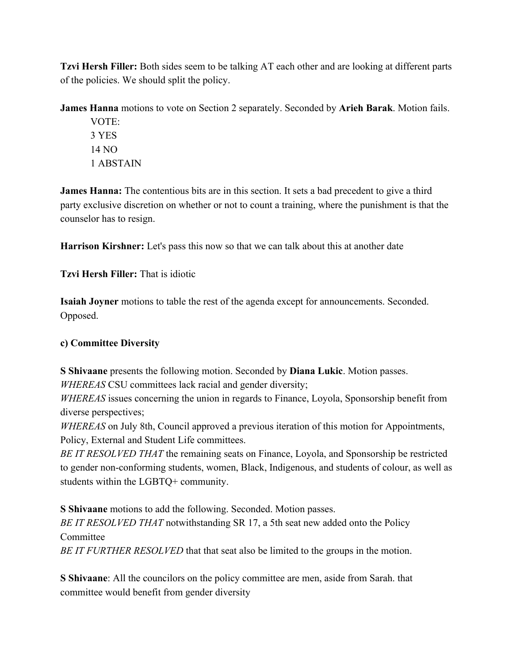**Tzvi Hersh Filler:** Both sides seem to be talking AT each other and are looking at different parts of the policies. We should split the policy.

**James Hanna** motions to vote on Section 2 separately. Seconded by **Arieh Barak**. Motion fails.

VOTE: 3 YES 14 NO 1 ABSTAIN

**James Hanna:** The contentious bits are in this section. It sets a bad precedent to give a third party exclusive discretion on whether or not to count a training, where the punishment is that the counselor has to resign.

**Harrison Kirshner:** Let's pass this now so that we can talk about this at another date

**Tzvi Hersh Filler:** That is idiotic

**Isaiah Joyner** motions to table the rest of the agenda except for announcements. Seconded. Opposed.

### **c) Committee Diversity**

**S Shivaane** presents the following motion. Seconded by **Diana Lukic**. Motion passes.

*WHEREAS* CSU committees lack racial and gender diversity;

*WHEREAS* issues concerning the union in regards to Finance, Loyola, Sponsorship benefit from diverse perspectives;

*WHEREAS* on July 8th, Council approved a previous iteration of this motion for Appointments, Policy, External and Student Life committees.

*BE IT RESOLVED THAT* the remaining seats on Finance, Loyola, and Sponsorship be restricted to gender non-conforming students, women, Black, Indigenous, and students of colour, as well as students within the LGBTQ+ community.

**S Shivaane** motions to add the following. Seconded. Motion passes.

*BE IT RESOLVED THAT* notwithstanding SR 17, a 5th seat new added onto the Policy **Committee** 

*BE IT FURTHER RESOLVED* that that seat also be limited to the groups in the motion.

**S Shivaane**: All the councilors on the policy committee are men, aside from Sarah. that committee would benefit from gender diversity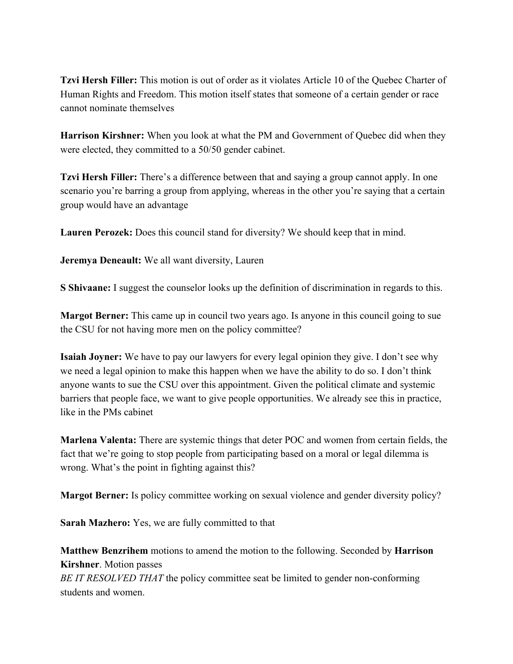**Tzvi Hersh Filler:** This motion is out of order as it violates Article 10 of the Quebec Charter of Human Rights and Freedom. This motion itself states that someone of a certain gender or race cannot nominate themselves

**Harrison Kirshner:** When you look at what the PM and Government of Quebec did when they were elected, they committed to a 50/50 gender cabinet.

**Tzvi Hersh Filler:** There's a difference between that and saying a group cannot apply. In one scenario you're barring a group from applying, whereas in the other you're saying that a certain group would have an advantage

**Lauren Perozek:** Does this council stand for diversity? We should keep that in mind.

**Jeremya Deneault:** We all want diversity, Lauren

**S Shivaane:** I suggest the counselor looks up the definition of discrimination in regards to this.

**Margot Berner:** This came up in council two years ago. Is anyone in this council going to sue the CSU for not having more men on the policy committee?

**Isaiah Joyner:** We have to pay our lawyers for every legal opinion they give. I don't see why we need a legal opinion to make this happen when we have the ability to do so. I don't think anyone wants to sue the CSU over this appointment. Given the political climate and systemic barriers that people face, we want to give people opportunities. We already see this in practice, like in the PMs cabinet

**Marlena Valenta:** There are systemic things that deter POC and women from certain fields, the fact that we're going to stop people from participating based on a moral or legal dilemma is wrong. What's the point in fighting against this?

**Margot Berner:** Is policy committee working on sexual violence and gender diversity policy?

**Sarah Mazhero:** Yes, we are fully committed to that

**Matthew Benzrihem** motions to amend the motion to the following. Seconded by **Harrison Kirshner**. Motion passes

*BE IT RESOLVED THAT* the policy committee seat be limited to gender non-conforming students and women.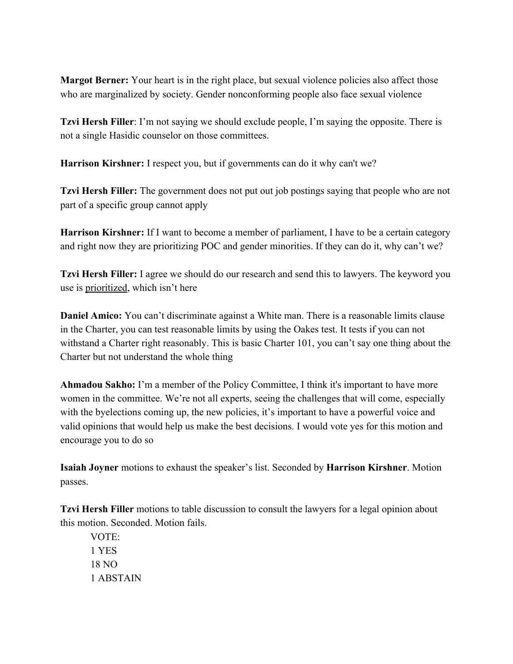**Margot Berner:** Your heart is in the right place, but sexual violence policies also affect those who are marginalized by society. Gender nonconforming people also face sexual violence

**Tzvi Hersh Filler**: I'm not saying we should exclude people, I'm saying the opposite. There is not a single Hasidic counselor on those committees.

**Harrison Kirshner:** I respect you, but if governments can do it why can't we?

**Tzvi Hersh Filler:** The government does not put out job postings saying that people who are not part of a specific group cannot apply

**Harrison Kirshner:** If I want to become a member of parliament, I have to be a certain category and right now they are prioritizing POC and gender minorities. If they can do it, why can't we?

**Tzvi Hersh Filler:** I agree we should do our research and send this to lawyers. The keyword you use is prioritized, which isn't here

**Daniel Amico:** You can't discriminate against a White man. There is a reasonable limits clause in the Charter, you can test reasonable limits by using the Oakes test. It tests if you can not withstand a Charter right reasonably. This is basic Charter 101, you can't say one thing about the Charter but not understand the whole thing

**Ahmadou Sakho:** I'm a member of the Policy Committee, I think it's important to have more women in the committee. We're not all experts, seeing the challenges that will come, especially with the byelections coming up, the new policies, it's important to have a powerful voice and valid opinions that would help us make the best decisions. I would vote yes for this motion and encourage you to do so

**Isaiah Joyner** motions to exhaust the speaker's list. Seconded by **Harrison Kirshner**. Motion passes.

**Tzvi Hersh Filler** motions to table discussion to consult the lawyers for a legal opinion about this motion. Seconded. Motion fails.

VOTE: 1 YES 18 NO 1 ABSTAIN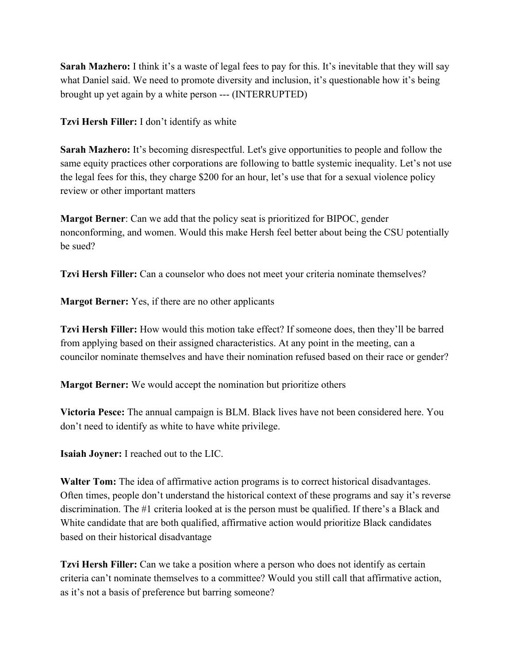**Sarah Mazhero:** I think it's a waste of legal fees to pay for this. It's inevitable that they will say what Daniel said. We need to promote diversity and inclusion, it's questionable how it's being brought up yet again by a white person --- (INTERRUPTED)

**Tzvi Hersh Filler:** I don't identify as white

**Sarah Mazhero:** It's becoming disrespectful. Let's give opportunities to people and follow the same equity practices other corporations are following to battle systemic inequality. Let's not use the legal fees for this, they charge \$200 for an hour, let's use that for a sexual violence policy review or other important matters

**Margot Berner**: Can we add that the policy seat is prioritized for BIPOC, gender nonconforming, and women. Would this make Hersh feel better about being the CSU potentially be sued?

**Tzvi Hersh Filler:** Can a counselor who does not meet your criteria nominate themselves?

**Margot Berner:** Yes, if there are no other applicants

**Tzvi Hersh Filler:** How would this motion take effect? If someone does, then they'll be barred from applying based on their assigned characteristics. At any point in the meeting, can a councilor nominate themselves and have their nomination refused based on their race or gender?

**Margot Berner:** We would accept the nomination but prioritize others

**Victoria Pesce:** The annual campaign is BLM. Black lives have not been considered here. You don't need to identify as white to have white privilege.

**Isaiah Joyner:** I reached out to the LIC.

**Walter Tom:** The idea of affirmative action programs is to correct historical disadvantages. Often times, people don't understand the historical context of these programs and say it's reverse discrimination. The #1 criteria looked at is the person must be qualified. If there's a Black and White candidate that are both qualified, affirmative action would prioritize Black candidates based on their historical disadvantage

**Tzvi Hersh Filler:** Can we take a position where a person who does not identify as certain criteria can't nominate themselves to a committee? Would you still call that affirmative action, as it's not a basis of preference but barring someone?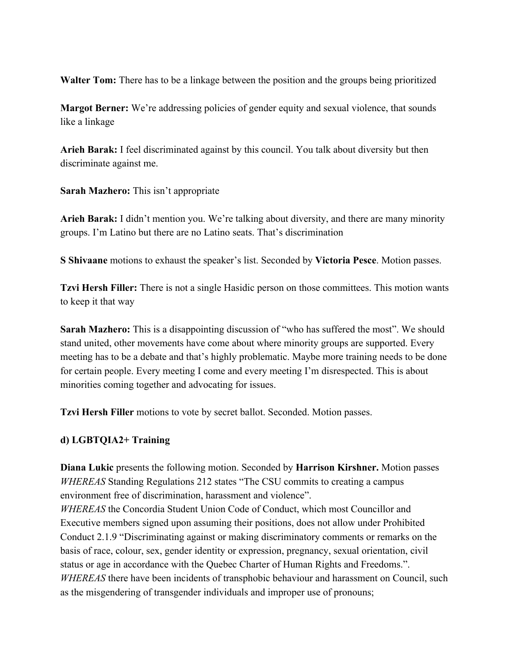**Walter Tom:** There has to be a linkage between the position and the groups being prioritized

**Margot Berner:** We're addressing policies of gender equity and sexual violence, that sounds like a linkage

**Arieh Barak:** I feel discriminated against by this council. You talk about diversity but then discriminate against me.

**Sarah Mazhero:** This isn't appropriate

**Arieh Barak:** I didn't mention you. We're talking about diversity, and there are many minority groups. I'm Latino but there are no Latino seats. That's discrimination

**S Shivaane** motions to exhaust the speaker's list. Seconded by **Victoria Pesce**. Motion passes.

**Tzvi Hersh Filler:** There is not a single Hasidic person on those committees. This motion wants to keep it that way

**Sarah Mazhero:** This is a disappointing discussion of "who has suffered the most". We should stand united, other movements have come about where minority groups are supported. Every meeting has to be a debate and that's highly problematic. Maybe more training needs to be done for certain people. Every meeting I come and every meeting I'm disrespected. This is about minorities coming together and advocating for issues.

**Tzvi Hersh Filler** motions to vote by secret ballot. Seconded. Motion passes.

#### **d) LGBTQIA2+ Training**

**Diana Lukic** presents the following motion. Seconded by **Harrison Kirshner.** Motion passes *WHEREAS* Standing Regulations 212 states "The CSU commits to creating a campus environment free of discrimination, harassment and violence".

*WHEREAS* the Concordia Student Union Code of Conduct, which most Councillor and Executive members signed upon assuming their positions, does not allow under Prohibited Conduct 2.1.9 "Discriminating against or making discriminatory comments or remarks on the basis of race, colour, sex, gender identity or expression, pregnancy, sexual orientation, civil status or age in accordance with the Quebec Charter of Human Rights and Freedoms.". *WHEREAS* there have been incidents of transphobic behaviour and harassment on Council, such as the misgendering of transgender individuals and improper use of pronouns;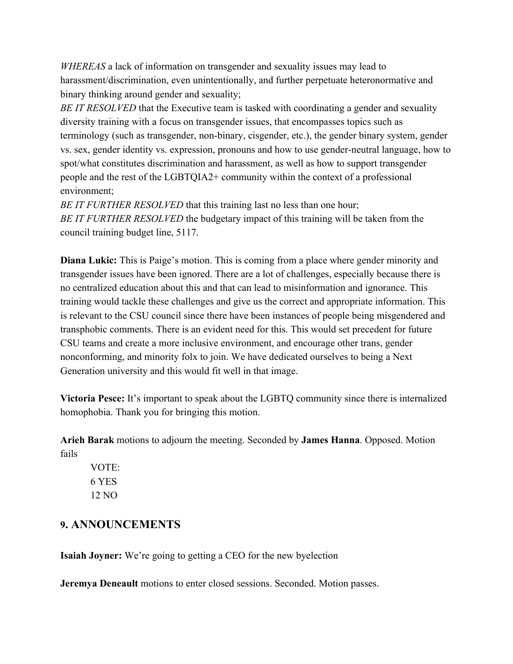*WHEREAS* a lack of information on transgender and sexuality issues may lead to harassment/discrimination, even unintentionally, and further perpetuate heteronormative and binary thinking around gender and sexuality;

*BE IT RESOLVED* that the Executive team is tasked with coordinating a gender and sexuality diversity training with a focus on transgender issues, that encompasses topics such as terminology (such as transgender, non-binary, cisgender, etc.), the gender binary system, gender vs. sex, gender identity vs. expression, pronouns and how to use gender-neutral language, how to spot/what constitutes discrimination and harassment, as well as how to support transgender people and the rest of the LGBTQIA2+ community within the context of a professional environment;

*BE IT FURTHER RESOLVED* that this training last no less than one hour; *BE IT FURTHER RESOLVED* the budgetary impact of this training will be taken from the council training budget line, 5117.

**Diana Lukic:** This is Paige's motion. This is coming from a place where gender minority and transgender issues have been ignored. There are a lot of challenges, especially because there is no centralized education about this and that can lead to misinformation and ignorance. This training would tackle these challenges and give us the correct and appropriate information. This is relevant to the CSU council since there have been instances of people being misgendered and transphobic comments. There is an evident need for this. This would set precedent for future CSU teams and create a more inclusive environment, and encourage other trans, gender nonconforming, and minority folx to join. We have dedicated ourselves to being a Next Generation university and this would fit well in that image.

**Victoria Pesce:** It's important to speak about the LGBTQ community since there is internalized homophobia. Thank you for bringing this motion.

**Arieh Barak** motions to adjourn the meeting. Seconded by **James Hanna**. Opposed. Motion fails

VOTE: 6 YES 12 NO

### **9. ANNOUNCEMENTS**

**Isaiah Joyner:** We're going to getting a CEO for the new byelection

**Jeremya Deneault** motions to enter closed sessions. Seconded. Motion passes.